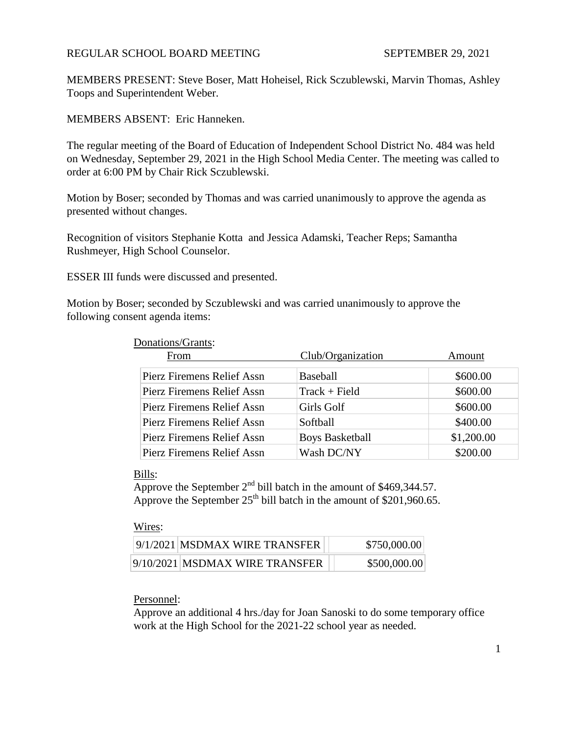# REGULAR SCHOOL BOARD MEETING SEPTEMBER 29, 2021

MEMBERS PRESENT: Steve Boser, Matt Hoheisel, Rick Sczublewski, Marvin Thomas, Ashley Toops and Superintendent Weber.

MEMBERS ABSENT: Eric Hanneken.

The regular meeting of the Board of Education of Independent School District No. 484 was held on Wednesday, September 29, 2021 in the High School Media Center. The meeting was called to order at 6:00 PM by Chair Rick Sczublewski.

Motion by Boser; seconded by Thomas and was carried unanimously to approve the agenda as presented without changes.

Recognition of visitors Stephanie Kotta and Jessica Adamski, Teacher Reps; Samantha Rushmeyer, High School Counselor.

ESSER III funds were discussed and presented.

Motion by Boser; seconded by Sczublewski and was carried unanimously to approve the following consent agenda items:

#### Donations/Grants:

| From                       | Club/Organization      | Amount     |
|----------------------------|------------------------|------------|
| Pierz Firemens Relief Assn | <b>Baseball</b>        | \$600.00   |
| Pierz Firemens Relief Assn | $Track + Field$        | \$600.00   |
| Pierz Firemens Relief Assn | Girls Golf             | \$600.00   |
| Pierz Firemens Relief Assn | Softball               | \$400.00   |
| Pierz Firemens Relief Assn | <b>Boys Basketball</b> | \$1,200.00 |
| Pierz Firemens Relief Assn | Wash DC/NY             | \$200.00   |

## Bills:

Approve the September  $2<sup>nd</sup>$  bill batch in the amount of \$469,344.57. Approve the September  $25<sup>th</sup>$  bill batch in the amount of \$201,960.65.

#### Wires:

| 9/1/2021 MSDMAX WIRE TRANSFER  | \$750,000.00 |
|--------------------------------|--------------|
| 9/10/2021 MSDMAX WIRE TRANSFER | \$500,000.00 |

## Personnel:

Approve an additional 4 hrs./day for Joan Sanoski to do some temporary office work at the High School for the 2021-22 school year as needed.